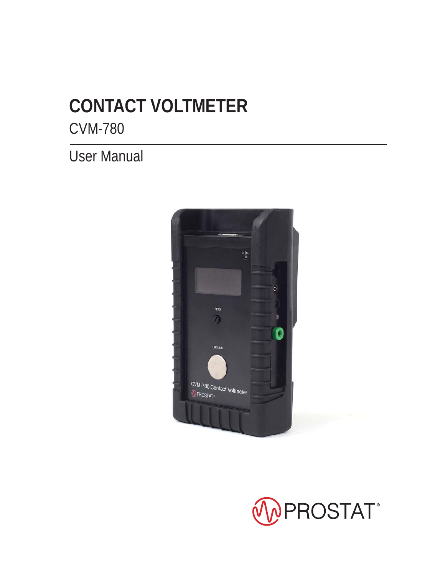# **CONTACT VOLTMETER**

CVM-780

User Manual



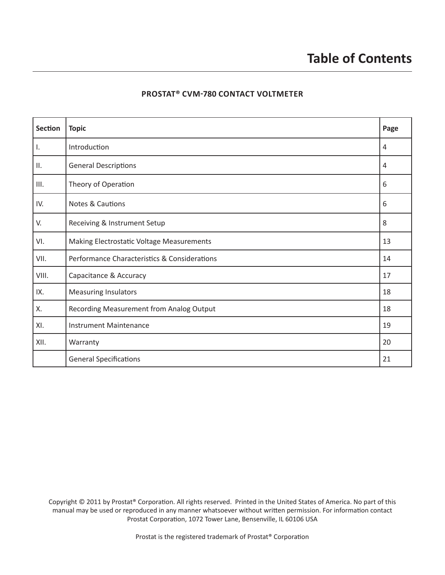#### **PROSTAT® CVM-780 CONTACT VOLTMETER**

| Section | <b>Topic</b>                                 | Page |
|---------|----------------------------------------------|------|
| Ι.      | Introduction                                 | 4    |
| ΙΙ.     | <b>General Descriptions</b>                  | 4    |
| III.    | Theory of Operation                          | 6    |
| IV.     | Notes & Cautions                             | 6    |
| V.      | Receiving & Instrument Setup                 | 8    |
| VI.     | Making Electrostatic Voltage Measurements    | 13   |
| VII.    | Performance Characteristics & Considerations | 14   |
| VIII.   | Capacitance & Accuracy                       | 17   |
| IX.     | <b>Measuring Insulators</b>                  | 18   |
| Χ.      | Recording Measurement from Analog Output     | 18   |
| XI.     | <b>Instrument Maintenance</b>                | 19   |
| XII.    | Warranty                                     | 20   |
|         | <b>General Specifications</b>                | 21   |

Copyright © 2011 by Prostat® Corporation. All rights reserved. Printed in the United States of America. No part of this manual may be used or reproduced in any manner whatsoever without written permission. For information contact Prostat Corporation, 1072 Tower Lane, Bensenville, IL 60106 USA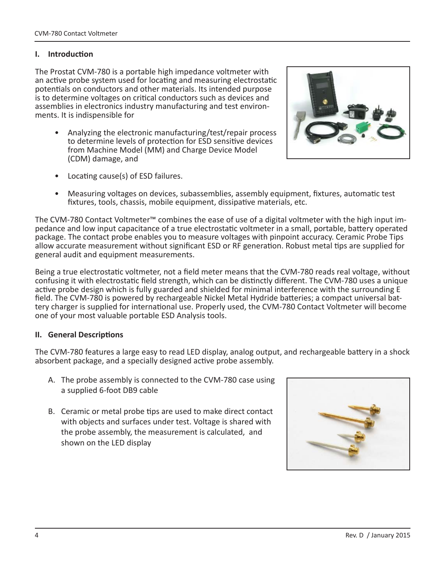#### **I.** Introduction

The Prostat CVM-780 is a portable high impedance voltmeter with an active probe system used for locating and measuring electrostatic potentials on conductors and other materials. Its intended purpose is to determine voltages on critical conductors such as devices and assemblies in electronics industry manufacturing and test environments. It is indispensible for

• Analyzing the electronic manufacturing/test/repair process to determine levels of protection for ESD sensitive devices from Machine Model (MM) and Charge Device Model (CDM) damage, and



- Locating cause(s) of ESD failures.
- Measuring voltages on devices, subassemblies, assembly equipment, fixtures, automatic test fixtures, tools, chassis, mobile equipment, dissipative materials, etc.

The CVM-780 Contact Voltmeter™ combines the ease of use of a digital voltmeter with the high input impedance and low input capacitance of a true electrostatic voltmeter in a small, portable, battery operated package. The contact probe enables you to measure voltages with pinpoint accuracy. Ceramic Probe Tips allow accurate measurement without significant ESD or RF generation. Robust metal tips are supplied for general audit and equipment measurements.

Being a true electrostatic voltmeter, not a field meter means that the CVM-780 reads real voltage, without confusing it with electrostatic field strength, which can be distinctly different. The CVM-780 uses a unique active probe design which is fully guarded and shielded for minimal interference with the surrounding E field. The CVM-780 is powered by rechargeable Nickel Metal Hydride batteries; a compact universal battery charger is supplied for international use. Properly used, the CVM-780 Contact Voltmeter will become one of your most valuable portable ESD Analysis tools.

#### **II.** General Descriptions

The CVM-780 features a large easy to read LED display, analog output, and rechargeable battery in a shock absorbent package, and a specially designed active probe assembly.

- A. The probe assembly is connected to the CVM-780 case using a supplied 6-foot DB9 cable
- B. Ceramic or metal probe tips are used to make direct contact with objects and surfaces under test. Voltage is shared with the probe assembly, the measurement is calculated, and shown on the LED display

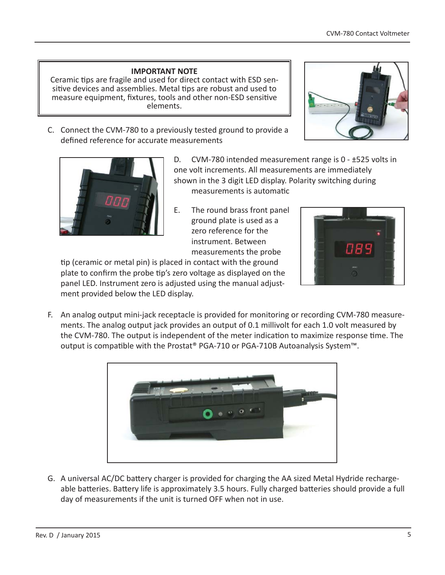#### **IMPORTANT NOTE**

Ceramic tips are fragile and used for direct contact with ESD sensitive devices and assemblies. Metal tips are robust and used to measure equipment, fixtures, tools and other non-ESD sensitive elements.

C. Connect the CVM-780 to a previously tested ground to provide a defined reference for accurate measurements





D. CVM-780 intended measurement range is 0 - ±525 volts in one volt increments. All measurements are immediately shown in the 3 digit LED display. Polarity switching during measurements is automatic

E. The round brass front panel ground plate is used as a zero reference for the instrument. Between measurements the probe



tip (ceramic or metal pin) is placed in contact with the ground plate to confirm the probe tip's zero voltage as displayed on the panel LED. Instrument zero is adjusted using the manual adjustment provided below the LED display.

F. An analog output mini-jack receptacle is provided for monitoring or recording CVM-780 measurements. The analog output jack provides an output of 0.1 millivolt for each 1.0 volt measured by the CVM-780. The output is independent of the meter indication to maximize response time. The output is compatible with the Prostat® PGA-710 or PGA-710B Autoanalysis System™.



G. A universal AC/DC battery charger is provided for charging the AA sized Metal Hydride rechargeable batteries. Battery life is approximately 3.5 hours. Fully charged batteries should provide a full day of measurements if the unit is turned OFF when not in use.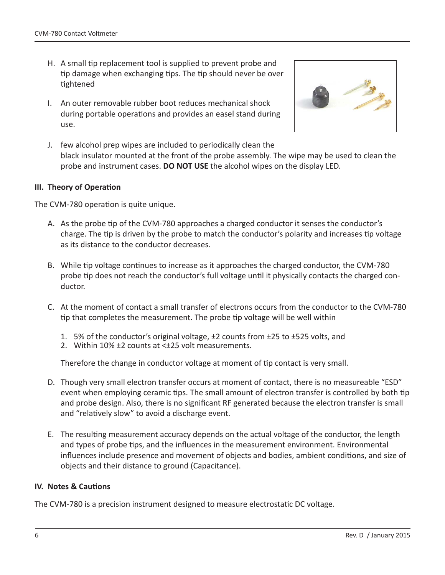- H. A small tip replacement tool is supplied to prevent probe and tip damage when exchanging tips. The tip should never be over Ɵ ghtened
- I. An outer removable rubber boot reduces mechanical shock during portable operations and provides an easel stand during use.



J. few alcohol prep wipes are included to periodically clean the black insulator mounted at the front of the probe assembly. The wipe may be used to clean the probe and instrument cases. **DO NOT USE** the alcohol wipes on the display LED.

#### **III.** Theory of Operation

The CVM-780 operation is quite unique.

- A. As the probe tip of the CVM-780 approaches a charged conductor it senses the conductor's charge. The tip is driven by the probe to match the conductor's polarity and increases tip voltage as its distance to the conductor decreases.
- B. While tip voltage continues to increase as it approaches the charged conductor, the CVM-780 probe tip does not reach the conductor's full voltage until it physically contacts the charged conductor.
- C. At the moment of contact a small transfer of electrons occurs from the conductor to the CVM-780 tip that completes the measurement. The probe tip voltage will be well within
	- 1. 5% of the conductor's original voltage, ±2 counts from ±25 to ±525 volts, and
	- 2. Within 10% ±2 counts at <±25 volt measurements.

Therefore the change in conductor voltage at moment of tip contact is very small.

- D. Though very small electron transfer occurs at moment of contact, there is no measureable "ESD" event when employing ceramic tips. The small amount of electron transfer is controlled by both tip and probe design. Also, there is no significant RF generated because the electron transfer is small and "relatively slow" to avoid a discharge event.
- E. The resulting measurement accuracy depends on the actual voltage of the conductor, the length and types of probe tips, and the influences in the measurement environment. Environmental influences include presence and movement of objects and bodies, ambient conditions, and size of objects and their distance to ground (Capacitance).

#### **IV.** Notes & Cautions

The CVM-780 is a precision instrument designed to measure electrostatic DC voltage.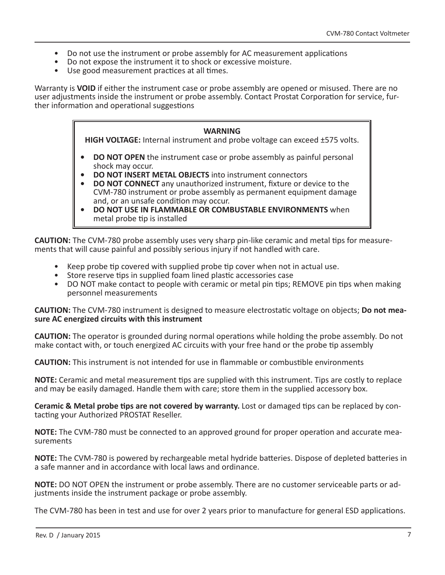- Do not use the instrument or probe assembly for AC measurement applications
- Do not expose the instrument it to shock or excessive moisture.
- Use good measurement practices at all times.

Warranty is **VOID** if either the instrument case or probe assembly are opened or misused. There are no user adjustments inside the instrument or probe assembly. Contact Prostat Corporation for service, further information and operational suggestions

#### **WARNING**

**HIGH VOLTAGE:** Internal instrument and probe voltage can exceed ±575 volts.

- **DO NOT OPEN** the instrument case or probe assembly as painful personal shock may occur.
- **DO NOT INSERT METAL OBJECTS** into instrument connectors
- **DO NOT CONNECT** any unauthorized instrument, fixture or device to the CVM-780 instrument or probe assembly as permanent equipment damage and, or an unsafe condition may occur.
- **DO NOT USE IN FLAMMABLE OR COMBUSTABLE ENVIRONMENTS** when metal probe tip is installed

**CAUTION:** The CVM-780 probe assembly uses very sharp pin-like ceramic and metal tips for measurements that will cause painful and possibly serious injury if not handled with care.

- Keep probe tip covered with supplied probe tip cover when not in actual use.
- Store reserve tips in supplied foam lined plastic accessories case
- DO NOT make contact to people with ceramic or metal pin tips; REMOVE pin tips when making personnel measurements

**CAUTION:** The CVM-780 instrument is designed to measure electrostatic voltage on objects; **Do not measure AC energized circuits with this instrument**

**CAUTION:** The operator is grounded during normal operations while holding the probe assembly. Do not make contact with, or touch energized AC circuits with your free hand or the probe tip assembly

**CAUTION:** This instrument is not intended for use in flammable or combustible environments

**NOTE:** Ceramic and metal measurement tips are supplied with this instrument. Tips are costly to replace and may be easily damaged. Handle them with care; store them in the supplied accessory box.

**Ceramic & Metal probe tips are not covered by warranty. Lost or damaged tips can be replaced by con**tacting your Authorized PROSTAT Reseller.

**NOTE:** The CVM-780 must be connected to an approved ground for proper operation and accurate measurements

**NOTE:** The CVM-780 is powered by rechargeable metal hydride batteries. Dispose of depleted batteries in a safe manner and in accordance with local laws and ordinance.

**NOTE:** DO NOT OPEN the instrument or probe assembly. There are no customer serviceable parts or adjustments inside the instrument package or probe assembly.

The CVM-780 has been in test and use for over 2 years prior to manufacture for general ESD applications.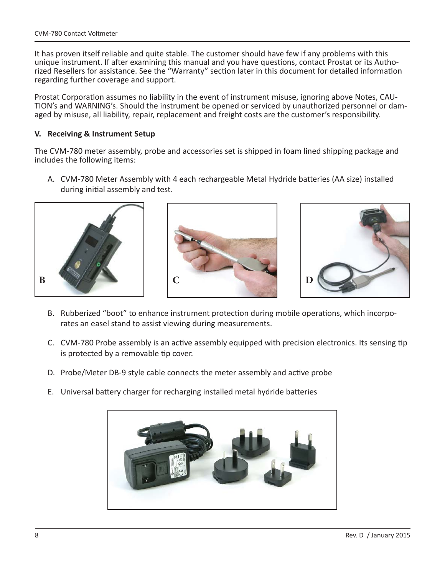It has proven itself reliable and quite stable. The customer should have few if any problems with this unique instrument. If after examining this manual and you have questions, contact Prostat or its Authorized Resellers for assistance. See the "Warranty" section later in this document for detailed information regarding further coverage and support.

Prostat Corporation assumes no liability in the event of instrument misuse, ignoring above Notes, CAU-TION's and WARNING's. Should the instrument be opened or serviced by unauthorized personnel or damaged by misuse, all liability, repair, replacement and freight costs are the customer's responsibility.

#### **V. Receiving & Instrument Setup**

The CVM-780 meter assembly, probe and accessories set is shipped in foam lined shipping package and includes the following items:

A. CVM-780 Meter Assembly with 4 each rechargeable Metal Hydride batteries (AA size) installed during initial assembly and test.







- B. Rubberized "boot" to enhance instrument protection during mobile operations, which incorporates an easel stand to assist viewing during measurements.
- C. CVM-780 Probe assembly is an active assembly equipped with precision electronics. Its sensing tip is protected by a removable tip cover.
- D. Probe/Meter DB-9 style cable connects the meter assembly and active probe
- E. Universal battery charger for recharging installed metal hydride batteries

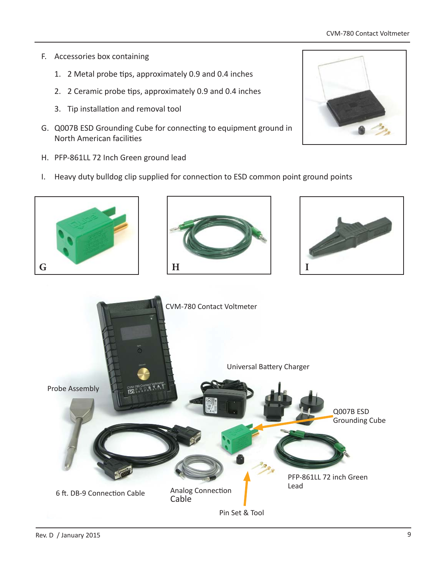#### CVM-780 Contact Voltmeter

- F. Accessories box containing
	- 1. 2 Metal probe tips, approximately 0.9 and 0.4 inches
	- 2. 2 Ceramic probe tips, approximately 0.9 and 0.4 inches
	- 3. Tip installation and removal tool
- G. Q007B ESD Grounding Cube for connecting to equipment ground in North American facilities
- H. PFP-861LL 72 Inch Green ground lead
- I. Heavy duty bulldog clip supplied for connection to ESD common point ground points



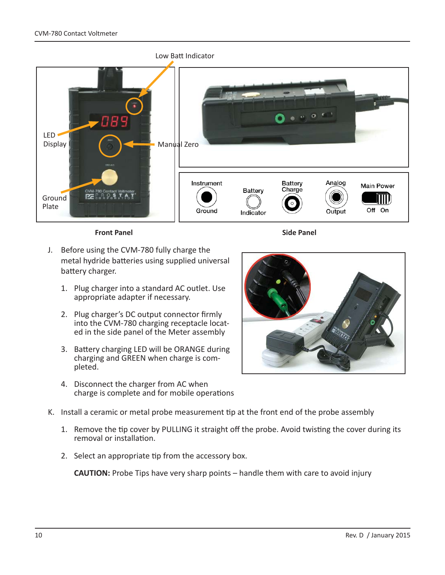

**Front Panel** Side Panel

- J. Before using the CVM-780 fully charge the metal hydride batteries using supplied universal battery charger.
	- 1. Plug charger into a standard AC outlet. Use appropriate adapter if necessary.
	- 2. Plug charger's DC output connector firmly into the CVM-780 charging receptacle located in the side panel of the Meter assembly
	- 3. Battery charging LED will be ORANGE during charging and GREEN when charge is completed.
	- 4. Disconnect the charger from AC when charge is complete and for mobile operations



- K. Install a ceramic or metal probe measurement tip at the front end of the probe assembly
	- 1. Remove the tip cover by PULLING it straight off the probe. Avoid twisting the cover during its removal or installation.
	- 2. Select an appropriate tip from the accessory box.

**CAUTION:** Probe Tips have very sharp points – handle them with care to avoid injury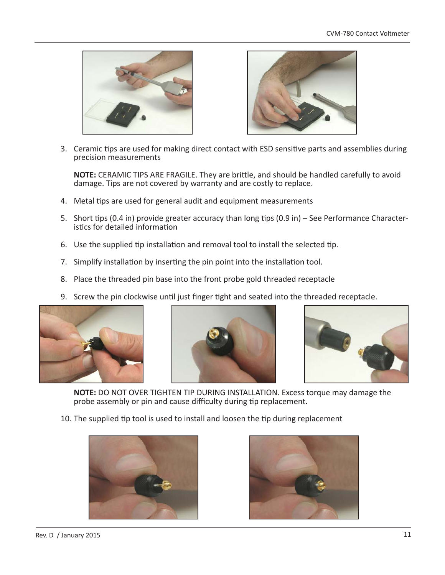



3. Ceramic tips are used for making direct contact with ESD sensitive parts and assemblies during precision measurements

**NOTE:** CERAMIC TIPS ARE FRAGILE. They are brittle, and should be handled carefully to avoid damage. Tips are not covered by warranty and are costly to replace.

- 4. Metal tips are used for general audit and equipment measurements
- 5. Short tips (0.4 in) provide greater accuracy than long tips (0.9 in) See Performance Characteristics for detailed information
- 6. Use the supplied tip installation and removal tool to install the selected tip.
- 7. Simplify installation by inserting the pin point into the installation tool.
- 8. Place the threaded pin base into the front probe gold threaded receptacle
- 9. Screw the pin clockwise until just finger tight and seated into the threaded receptacle.







**NOTE:** DO NOT OVER TIGHTEN TIP DURING INSTALLATION. Excess torque may damage the probe assembly or pin and cause difficulty during tip replacement.

10. The supplied tip tool is used to install and loosen the tip during replacement



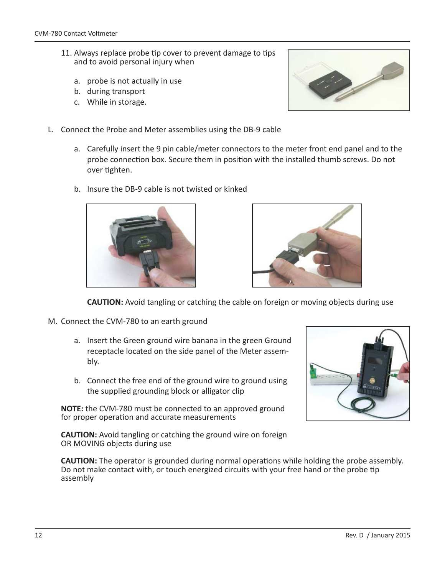- 11. Always replace probe tip cover to prevent damage to tips and to avoid personal injury when
	- a. probe is not actually in use
	- b. during transport
	- c. While in storage.
- L. Connect the Probe and Meter assemblies using the DB-9 cable
	- a. Carefully insert the 9 pin cable/meter connectors to the meter front end panel and to the probe connection box. Secure them in position with the installed thumb screws. Do not over tighten.
	- b. Insure the DB-9 cable is not twisted or kinked





**CAUTION:** Avoid tangling or catching the cable on foreign or moving objects during use

- M. Connect the CVM-780 to an earth ground
	- a. Insert the Green ground wire banana in the green Ground receptacle located on the side panel of the Meter assembly.
	- b. Connect the free end of the ground wire to ground using the supplied grounding block or alligator clip

**NOTE:** the CVM-780 must be connected to an approved ground for proper operation and accurate measurements

**CAUTION:** Avoid tangling or catching the ground wire on foreign OR MOVING objects during use



**CAUTION:** The operator is grounded during normal operations while holding the probe assembly. Do not make contact with, or touch energized circuits with your free hand or the probe tip assembly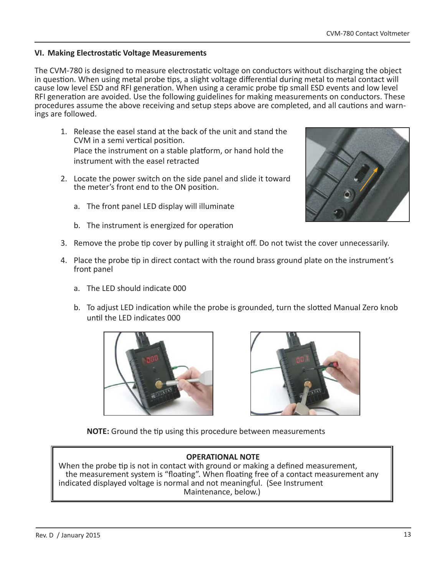### **VI. Making Electrostatic Voltage Measurements**

The CVM-780 is designed to measure electrostatic voltage on conductors without discharging the object in question. When using metal probe tips, a slight voltage differential during metal to metal contact will cause low level ESD and RFI generation. When using a ceramic probe tip small ESD events and low level RFI generation are avoided. Use the following guidelines for making measurements on conductors. These procedures assume the above receiving and setup steps above are completed, and all cautions and warnings are followed.

- 1. Release the easel stand at the back of the unit and stand the CVM in a semi vertical position. Place the instrument on a stable platform, or hand hold the instrument with the easel retracted
- 2. Locate the power switch on the side panel and slide it toward the meter's front end to the ON position.
	- a. The front panel LED display will illuminate
	- b. The instrument is energized for operation
- 3. Remove the probe tip cover by pulling it straight off. Do not twist the cover unnecessarily.
- 4. Place the probe tip in direct contact with the round brass ground plate on the instrument's front panel
	- a. The LED should indicate 000
	- b. To adjust LED indication while the probe is grounded, turn the slotted Manual Zero knob until the LFD indicates 000





NOTE: Ground the tip using this procedure between measurements

### **OPERATIONAL NOTE**

When the probe tip is not in contact with ground or making a defined measurement, the measurement system is "floating". When floating free of a contact measurement any indicated displayed voltage is normal and not meaningful. (See Instrument Maintenance, below.)

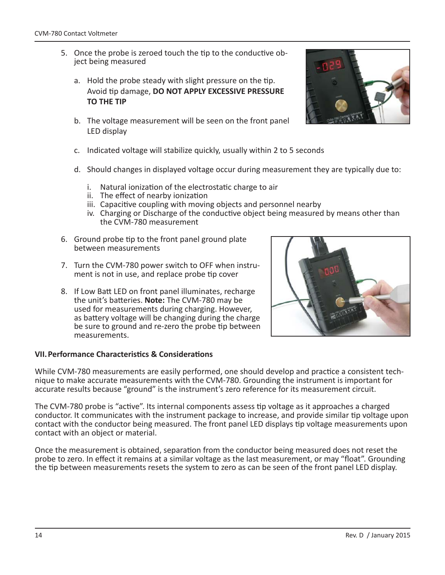- 5. Once the probe is zeroed touch the tip to the conductive object being measured
	- a. Hold the probe steady with slight pressure on the tip. Avoid Ɵ p damage, **DO NOT APPLY EXCESSIVE PRESSURE TO THE TIP**
	- b. The voltage measurement will be seen on the front panel LED display
	- c. Indicated voltage will stabilize quickly, usually within 2 to 5 seconds
	- d. Should changes in displayed voltage occur during measurement they are typically due to:
		- i. Natural ionization of the electrostatic charge to air
		- ii. The effect of nearby ionization
		- iii. Capacitive coupling with moving objects and personnel nearby
		- iv. Charging or Discharge of the conductive object being measured by means other than the CVM-780 measurement
- 6. Ground probe tip to the front panel ground plate between measurements
- 7. Turn the CVM-780 power switch to OFF when instrument is not in use, and replace probe tip cover
- 8. If Low Batt LED on front panel illuminates, recharge the unit's batteries. **Note:** The CVM-780 may be used for measurements during charging. However, as battery voltage will be changing during the charge be sure to ground and re-zero the probe tip between measurements.



While CVM-780 measurements are easily performed, one should develop and practice a consistent technique to make accurate measurements with the CVM-780. Grounding the instrument is important for accurate results because "ground" is the instrument's zero reference for its measurement circuit.

The CVM-780 probe is "active". Its internal components assess tip voltage as it approaches a charged conductor. It communicates with the instrument package to increase, and provide similar tip voltage upon contact with the conductor being measured. The front panel LED displays tip voltage measurements upon contact with an object or material.

Once the measurement is obtained, separation from the conductor being measured does not reset the probe to zero. In effect it remains at a similar voltage as the last measurement, or may "float". Grounding the tip between measurements resets the system to zero as can be seen of the front panel LED display.



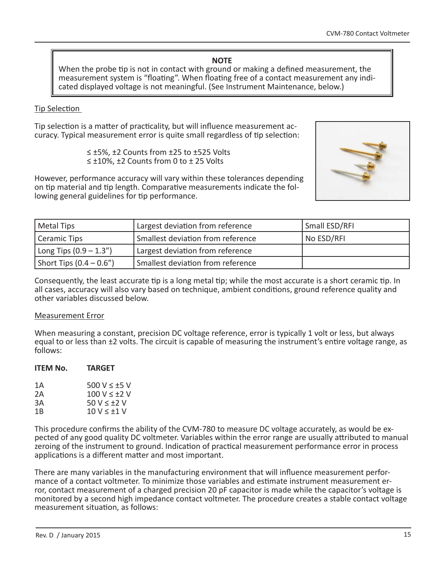#### **NOTE**

When the probe tip is not in contact with ground or making a defined measurement, the measurement system is "floating". When floating free of a contact measurement any indicated displayed voltage is not meaningful. (See Instrument Maintenance, below.)

#### Tip Selection

Tip selection is a matter of practicality, but will influence measurement accuracy. Typical measurement error is quite small regardless of tip selection:

<sup>≤</sup> ±5%, ±2 Counts from ±25 to ±525 Volts ≤ ±10%, ±2 Counts from 0 to ± 25 Volts



However, performance accuracy will vary within these tolerances depending on tip material and tip length. Comparative measurements indicate the following general guidelines for tip performance.

| Metal Tips                 | Largest deviation from reference  | Small ESD/RFI |
|----------------------------|-----------------------------------|---------------|
| Ceramic Tips               | Smallest deviation from reference | No ESD/RFI    |
| Long Tips $(0.9 - 1.3'')$  | Largest deviation from reference  |               |
| Short Tips $(0.4 - 0.6'')$ | Smallest deviation from reference |               |

Consequently, the least accurate tip is a long metal tip; while the most accurate is a short ceramic tip. In all cases, accuracy will also vary based on technique, ambient conditions, ground reference quality and other variables discussed below.

#### Measurement Error

When measuring a constant, precision DC voltage reference, error is typically 1 volt or less, but always equal to or less than ±2 volts. The circuit is capable of measuring the instrument's entire voltage range, as follows:

#### **ITEM No. TARGET**

| 1Α  | 500 V < $+5$ V   |
|-----|------------------|
| 2A  | 100 V $\lt$ +2 V |
| ЗA  | $50 V < +2 V$    |
| 1 B | $10 V < +1 V$    |

This procedure confirms the ability of the CVM-780 to measure DC voltage accurately, as would be expected of any good quality DC voltmeter. Variables within the error range are usually attributed to manual zeroing of the instrument to ground. Indication of practical measurement performance error in process applications is a different matter and most important.

There are many variables in the manufacturing environment that will influence measurement performance of a contact voltmeter. To minimize those variables and estimate instrument measurement error, contact measurement of a charged precision 20 pF capacitor is made while the capacitor's voltage is monitored by a second high impedance contact voltmeter. The procedure creates a stable contact voltage measurement situation, as follows: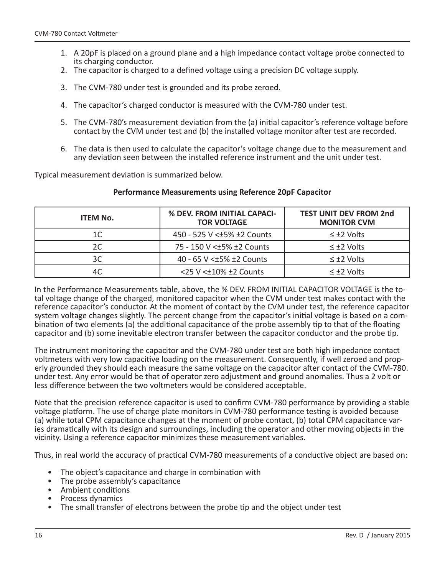- 1. A 20pF is placed on a ground plane and a high impedance contact voltage probe connected to its charging conductor.
- 2. The capacitor is charged to a defined voltage using a precision DC voltage supply.
- 3. The CVM-780 under test is grounded and its probe zeroed.
- 4. The capacitor's charged conductor is measured with the CVM-780 under test.
- 5. The CVM-780's measurement deviation from the (a) initial capacitor's reference voltage before contact by the CVM under test and (b) the installed voltage monitor after test are recorded.
- 6. The data is then used to calculate the capacitor's voltage change due to the measurement and any deviation seen between the installed reference instrument and the unit under test.

Typical measurement deviation is summarized below.

#### **Performance Measurements using Reference 20pF Capacitor**

| <b>ITEM No.</b> | % DEV. FROM INITIAL CAPACI-<br><b>TOR VOLTAGE</b> | <b>TEST UNIT DEV FROM 2nd</b><br><b>MONITOR CVM</b> |
|-----------------|---------------------------------------------------|-----------------------------------------------------|
| 1C              | 450 - 525 V < $±5\%$ ±2 Counts                    | $\leq \pm 2$ Volts                                  |
| 2C              | 75 - 150 V < ± 5% ± 2 Counts                      | $\leq \pm 2$ Volts                                  |
| 3C              | 40 - 65 V < ± 5% ± 2 Counts                       | $\leq \pm 2$ Volts                                  |
| 4C              | <25 V < $\pm$ 10% $\pm$ 2 Counts                  | $\leq \pm 2$ Volts                                  |

In the Performance Measurements table, above, the % DEV. FROM INITIAL CAPACITOR VOLTAGE is the total voltage change of the charged, monitored capacitor when the CVM under test makes contact with the reference capacitor's conductor. At the moment of contact by the CVM under test, the reference capacitor system voltage changes slightly. The percent change from the capacitor's initial voltage is based on a combination of two elements (a) the additional capacitance of the probe assembly tip to that of the floating capacitor and (b) some inevitable electron transfer between the capacitor conductor and the probe tip.

The instrument monitoring the capacitor and the CVM-780 under test are both high impedance contact voltmeters with very low capacitive loading on the measurement. Consequently, if well zeroed and properly grounded they should each measure the same voltage on the capacitor after contact of the CVM-780. under test. Any error would be that of operator zero adjustment and ground anomalies. Thus a 2 volt or less difference between the two voltmeters would be considered acceptable.

Note that the precision reference capacitor is used to confirm CVM-780 performance by providing a stable voltage platform. The use of charge plate monitors in CVM-780 performance testing is avoided because (a) while total CPM capacitance changes at the moment of probe contact, (b) total CPM capacitance varies dramatically with its design and surroundings, including the operator and other moving objects in the vicinity. Using a reference capacitor minimizes these measurement variables.

Thus, in real world the accuracy of practical CVM-780 measurements of a conductive object are based on:

- The object's capacitance and charge in combination with
- The probe assembly's capacitance
- Ambient conditions
- Process dynamics
- The small transfer of electrons between the probe tip and the object under test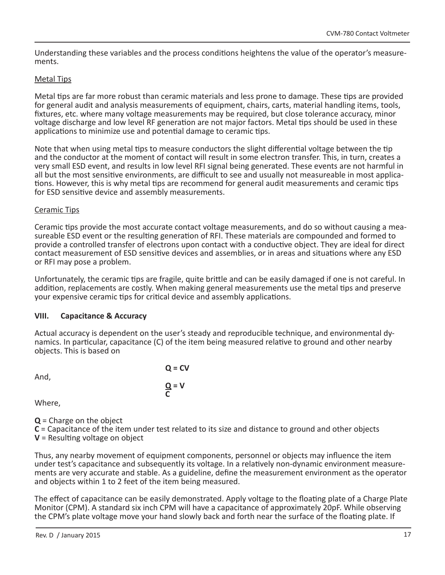Understanding these variables and the process conditions heightens the value of the operator's measurements.

#### Metal Tips

Metal tips are far more robust than ceramic materials and less prone to damage. These tips are provided for general audit and analysis measurements of equipment, chairs, carts, material handling items, tools, fixtures, etc. where many voltage measurements may be required, but close tolerance accuracy, minor voltage discharge and low level RF generation are not major factors. Metal tips should be used in these applications to minimize use and potential damage to ceramic tips.

Note that when using metal tips to measure conductors the slight differential voltage between the tip and the conductor at the moment of contact will result in some electron transfer. This, in turn, creates a very small ESD event, and results in low level RFI signal being generated. These events are not harmful in all but the most sensitive environments, are difficult to see and usually not measureable in most applications. However, this is why metal tips are recommend for general audit measurements and ceramic tips for ESD sensitive device and assembly measurements.

#### Ceramic Tips

Ceramic tips provide the most accurate contact voltage measurements, and do so without causing a measureable ESD event or the resulting generation of RFI. These materials are compounded and formed to provide a controlled transfer of electrons upon contact with a conductive object. They are ideal for direct contact measurement of ESD sensitive devices and assemblies, or in areas and situations where any ESD or RFI may pose a problem.

Unfortunately, the ceramic tips are fragile, quite brittle and can be easily damaged if one is not careful. In addition, replacements are costly. When making general measurements use the metal tips and preserve your expensive ceramic tips for critical device and assembly applications.

#### **VIII. Capacitance & Accuracy**

Actual accuracy is dependent on the user's steady and reproducible technique, and environmental dynamics. In particular, capacitance (C) of the item being measured relative to ground and other nearby objects. This is based on

And,

 **Q = CV**  $\frac{Q}{C}$  = V **C** 

Where,

**Q** = Charge on the object

**C** = Capacitance of the item under test related to its size and distance to ground and other objects

 $V =$  Resulting voltage on object

Thus, any nearby movement of equipment components, personnel or objects may influence the item under test's capacitance and subsequently its voltage. In a relatively non-dynamic environment measurements are very accurate and stable. As a guideline, define the measurement environment as the operator and objects within 1 to 2 feet of the item being measured.

The effect of capacitance can be easily demonstrated. Apply voltage to the floating plate of a Charge Plate Monitor (CPM). A standard six inch CPM will have a capacitance of approximately 20pF. While observing the CPM's plate voltage move your hand slowly back and forth near the surface of the floating plate. If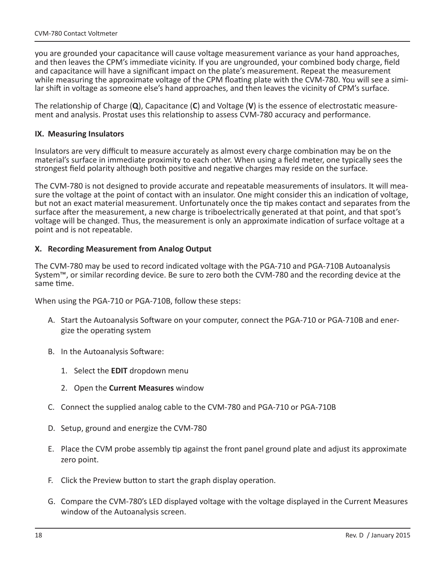you are grounded your capacitance will cause voltage measurement variance as your hand approaches, and then leaves the CPM's immediate vicinity. If you are ungrounded, your combined body charge, field and capacitance will have a significant impact on the plate's measurement. Repeat the measurement while measuring the approximate voltage of the CPM floating plate with the CVM-780. You will see a similar shift in voltage as someone else's hand approaches, and then leaves the vicinity of CPM's surface.

The relationship of Charge (**Q**), Capacitance (**C**) and Voltage (**V**) is the essence of electrostatic measurement and analysis. Prostat uses this relationship to assess CVM-780 accuracy and performance.

#### **IX. Measuring Insulators**

Insulators are very difficult to measure accurately as almost every charge combination may be on the material's surface in immediate proximity to each other. When using a field meter, one typically sees the strongest field polarity although both positive and negative charges may reside on the surface.

The CVM-780 is not designed to provide accurate and repeatable measurements of insulators. It will measure the voltage at the point of contact with an insulator. One might consider this an indication of voltage, but not an exact material measurement. Unfortunately once the tip makes contact and separates from the surface after the measurement, a new charge is triboelectrically generated at that point, and that spot's voltage will be changed. Thus, the measurement is only an approximate indication of surface voltage at a point and is not repeatable.

#### **X. Recording Measurement from Analog Output**

The CVM-780 may be used to record indicated voltage with the PGA-710 and PGA-710B Autoanalysis System™, or similar recording device. Be sure to zero both the CVM-780 and the recording device at the same time.

When using the PGA-710 or PGA-710B, follow these steps:

- A. Start the Autoanalysis Software on your computer, connect the PGA-710 or PGA-710B and energize the operating system
- B. In the Autoanalysis Software:
	- 1. Select the **EDIT** dropdown menu
	- 2. Open the **Current Measures** window
- C. Connect the supplied analog cable to the CVM-780 and PGA-710 or PGA-710B
- D. Setup, ground and energize the CVM-780
- E. Place the CVM probe assembly tip against the front panel ground plate and adjust its approximate zero point.
- F. Click the Preview button to start the graph display operation.
- G. Compare the CVM-780's LED displayed voltage with the voltage displayed in the Current Measures window of the Autoanalysis screen.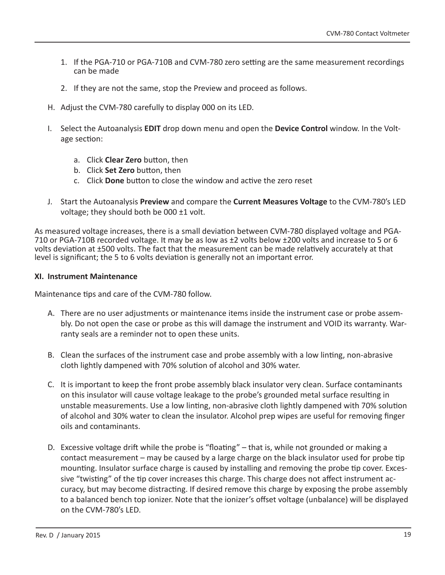- 1. If the PGA-710 or PGA-710B and CVM-780 zero setting are the same measurement recordings can be made
- 2. If they are not the same, stop the Preview and proceed as follows.
- H. Adjust the CVM-780 carefully to display 000 on its LED.
- I. Select the Autoanalysis **EDIT** drop down menu and open the **Device Control** window. In the Voltage section:
	- a. Click **Clear Zero** button, then
	- b. Click **Set Zero** button, then
	- c. Click **Done** button to close the window and active the zero reset
- J. Start the Autoanalysis **Preview** and compare the **Current Measures Voltage** to the CVM-780's LED voltage; they should both be  $000 \pm 1$  volt.

As measured voltage increases, there is a small deviation between CVM-780 displayed voltage and PGA-710 or PGA-710B recorded voltage. It may be as low as ±2 volts below ±200 volts and increase to 5 or 6 volts deviation at ±500 volts. The fact that the measurement can be made relatively accurately at that level is significant; the 5 to 6 volts deviation is generally not an important error.

#### **XI. Instrument Maintenance**

Maintenance tips and care of the CVM-780 follow.

- A. There are no user adjustments or maintenance items inside the instrument case or probe assembly. Do not open the case or probe as this will damage the instrument and VOID its warranty. Warranty seals are a reminder not to open these units.
- B. Clean the surfaces of the instrument case and probe assembly with a low linting, non-abrasive cloth lightly dampened with 70% solution of alcohol and 30% water.
- C. It is important to keep the front probe assembly black insulator very clean. Surface contaminants on this insulator will cause voltage leakage to the probe's grounded metal surface resulting in unstable measurements. Use a low linting, non-abrasive cloth lightly dampened with 70% solution of alcohol and 30% water to clean the insulator. Alcohol prep wipes are useful for removing finger oils and contaminants.
- D. Excessive voltage drift while the probe is "floating" that is, while not grounded or making a contact measurement – may be caused by a large charge on the black insulator used for probe tip mounting. Insulator surface charge is caused by installing and removing the probe tip cover. Excessive "twisting" of the tip cover increases this charge. This charge does not affect instrument accuracy, but may become distracting. If desired remove this charge by exposing the probe assembly to a balanced bench top ionizer. Note that the ionizer's offset voltage (unbalance) will be displayed on the CVM-780's LED.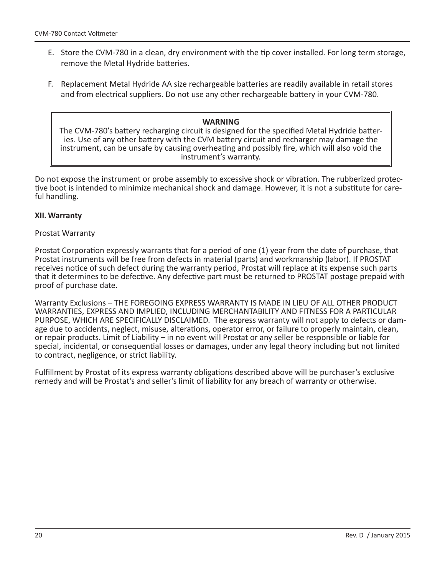- E. Store the CVM-780 in a clean, dry environment with the tip cover installed. For long term storage, remove the Metal Hydride batteries.
- F. Replacement Metal Hydride AA size rechargeable batteries are readily available in retail stores and from electrical suppliers. Do not use any other rechargeable battery in your CVM-780.

#### **WARNING**

The CVM-780's battery recharging circuit is designed for the specified Metal Hydride batteries. Use of any other battery with the CVM battery circuit and recharger may damage the instrument, can be unsafe by causing overheating and possibly fire, which will also void the instrument's warranty.

Do not expose the instrument or probe assembly to excessive shock or vibration. The rubberized protective boot is intended to minimize mechanical shock and damage. However, it is not a substitute for careful handling.

#### **XII. Warranty**

#### Prostat Warranty

Prostat Corporation expressly warrants that for a period of one (1) year from the date of purchase, that Prostat instruments will be free from defects in material (parts) and workmanship (labor). If PROSTAT receives notice of such defect during the warranty period, Prostat will replace at its expense such parts that it determines to be defective. Any defective part must be returned to PROSTAT postage prepaid with proof of purchase date.

Warranty Exclusions – THE FOREGOING EXPRESS WARRANTY IS MADE IN LIEU OF ALL OTHER PRODUCT WARRANTIES, EXPRESS AND IMPLIED, INCLUDING MERCHANTABILITY AND FITNESS FOR A PARTICULAR PURPOSE, WHICH ARE SPECIFICALLY DISCLAIMED. The express warranty will not apply to defects or damage due to accidents, neglect, misuse, alterations, operator error, or failure to properly maintain, clean, or repair products. Limit of Liability – in no event will Prostat or any seller be responsible or liable for special, incidental, or consequential losses or damages, under any legal theory including but not limited to contract, negligence, or strict liability.

Fulfillment by Prostat of its express warranty obligations described above will be purchaser's exclusive remedy and will be Prostat's and seller's limit of liability for any breach of warranty or otherwise.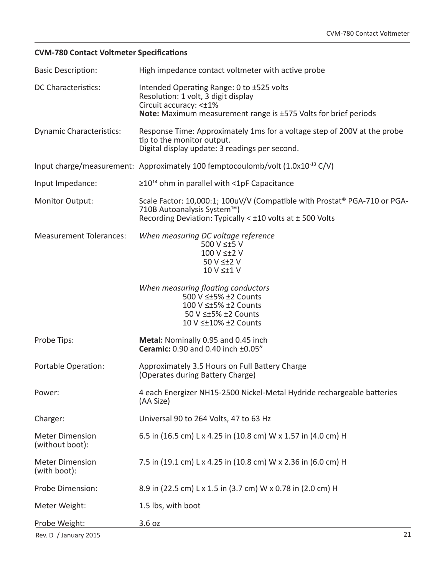### **CVM-780 Contact Voltmeter Specifications**

| <b>Basic Description:</b>                 | High impedance contact voltmeter with active probe                                                                                                                                   |
|-------------------------------------------|--------------------------------------------------------------------------------------------------------------------------------------------------------------------------------------|
| <b>DC Characteristics:</b>                | Intended Operating Range: 0 to ±525 volts<br>Resolution: 1 volt, 3 digit display<br>Circuit accuracy: <±1%<br><b>Note:</b> Maximum measurement range is ±575 Volts for brief periods |
| <b>Dynamic Characteristics:</b>           | Response Time: Approximately 1ms for a voltage step of 200V at the probe<br>tip to the monitor output.<br>Digital display update: 3 readings per second.                             |
|                                           | Input charge/measurement: Approximately 100 femptocoulomb/volt $(1.0x10^{-13} C/V)$                                                                                                  |
| Input Impedance:                          | $\geq$ 10 <sup>14</sup> ohm in parallel with <1pF Capacitance                                                                                                                        |
| <b>Monitor Output:</b>                    | Scale Factor: 10,000:1; 100uV/V (Compatible with Prostat® PGA-710 or PGA-<br>710B Autoanalysis System™)<br>Recording Deviation: Typically $\lt$ ±10 volts at $\pm$ 500 Volts         |
| <b>Measurement Tolerances:</b>            | When measuring DC voltage reference<br>500 V ≤±5 V<br>100 V ≤±2 V<br>50 V ≤±2 V<br>10 V $\leq$ +1 V                                                                                  |
|                                           | When measuring floating conductors<br>500 V ≤±5% ±2 Counts<br>100 V ≤±5% ±2 Counts<br>50 V ≤±5% ±2 Counts<br>10 V ≤±10% ±2 Counts                                                    |
| Probe Tips:                               | Metal: Nominally 0.95 and 0.45 inch<br>Ceramic: 0.90 and 0.40 inch ±0.05"                                                                                                            |
| Portable Operation:                       | Approximately 3.5 Hours on Full Battery Charge<br>(Operates during Battery Charge)                                                                                                   |
| Power:                                    | 4 each Energizer NH15-2500 Nickel-Metal Hydride rechargeable batteries<br>(AA Size)                                                                                                  |
| Charger:                                  | Universal 90 to 264 Volts, 47 to 63 Hz                                                                                                                                               |
| <b>Meter Dimension</b><br>(without boot): | 6.5 in (16.5 cm) L x 4.25 in (10.8 cm) W x 1.57 in (4.0 cm) H                                                                                                                        |
| <b>Meter Dimension</b><br>(with boot):    | 7.5 in (19.1 cm) L x 4.25 in (10.8 cm) W x 2.36 in (6.0 cm) H                                                                                                                        |
| Probe Dimension:                          | 8.9 in (22.5 cm) L x 1.5 in (3.7 cm) W x 0.78 in (2.0 cm) H                                                                                                                          |
| Meter Weight:                             | 1.5 lbs, with boot                                                                                                                                                                   |
| Probe Weight:                             | 3.6 oz                                                                                                                                                                               |
| Rev. D / January 2015                     | 21                                                                                                                                                                                   |